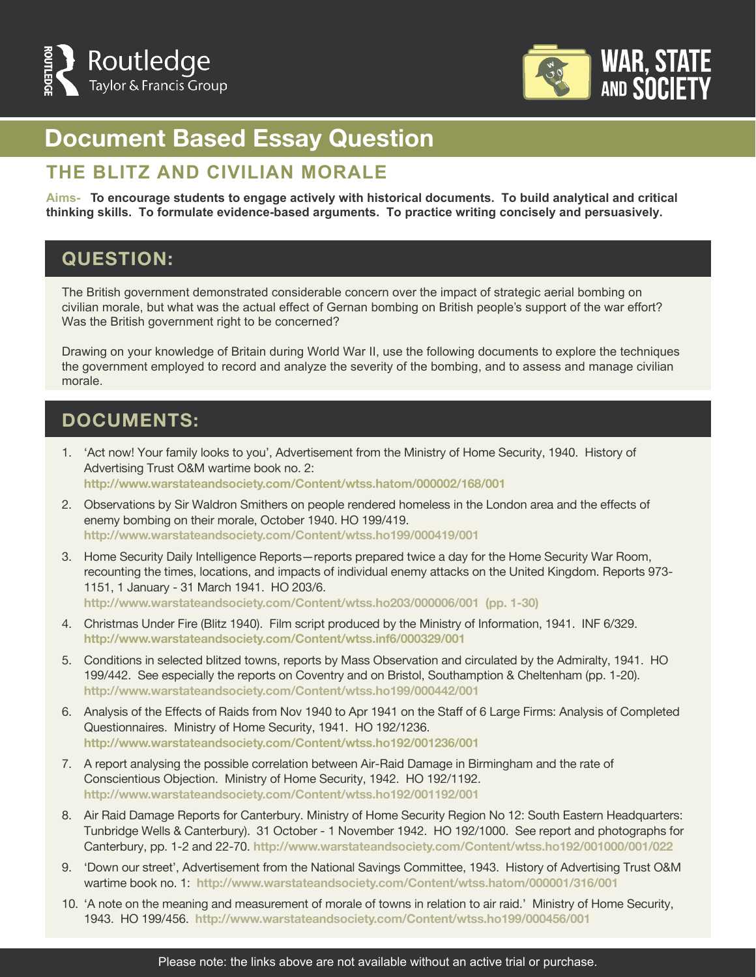



# **Document Based Essay Question**

#### **THE BLITZ AND CIVILIAN MORALE**

**Aims- To encourage students to engage actively with historical documents. To build analytical and critical thinking skills. To formulate evidence-based arguments. To practice writing concisely and persuasively.**

### **QUESTION:**

The British government demonstrated considerable concern over the impact of strategic aerial bombing on civilian morale, but what was the actual effect of Gernan bombing on British people's support of the war effort? Was the British government right to be concerned?

Drawing on your knowledge of Britain during World War II, use the following documents to explore the techniques the government employed to record and analyze the severity of the bombing, and to assess and manage civilian morale.

#### **DOCUMENTS:**

- 1. 'Act now! Your family looks to you', Advertisement from the Ministry of Home Security, 1940. History of Advertising Trust O&M wartime book no. 2: **http://www.warstateandsociety.com/Content/wtss.hatom/000002/168/001**
- 2. Observations by Sir Waldron Smithers on people rendered homeless in the London area and the effects of enemy bombing on their morale, October 1940. HO 199/419. **http://www.warstateandsociety.com/Content/wtss.ho199/000419/001**
- 3. Home Security Daily Intelligence Reports—reports prepared twice a day for the Home Security War Room, recounting the times, locations, and impacts of individual enemy attacks on the United Kingdom. Reports 973- 1151, 1 January - 31 March 1941. HO 203/6. **http://www.warstateandsociety.com/Content/wtss.ho203/000006/001 (pp. 1-30)**
- 4. Christmas Under Fire (Blitz 1940). Film script produced by the Ministry of Information, 1941. INF 6/329. **http://www.warstateandsociety.com/Content/wtss.inf6/000329/001**
- 5. Conditions in selected blitzed towns, reports by Mass Observation and circulated by the Admiralty, 1941. HO 199/442. See especially the reports on Coventry and on Bristol, Southamption & Cheltenham (pp. 1-20). **http://www.warstateandsociety.com/Content/wtss.ho199/000442/001**
- 6. Analysis of the Effects of Raids from Nov 1940 to Apr 1941 on the Staff of 6 Large Firms: Analysis of Completed Questionnaires. Ministry of Home Security, 1941. HO 192/1236. **http://www.warstateandsociety.com/Content/wtss.ho192/001236/001**
- 7. A report analysing the possible correlation between Air-Raid Damage in Birmingham and the rate of Conscientious Objection. Ministry of Home Security, 1942. HO 192/1192. **http://www.warstateandsociety.com/Content/wtss.ho192/001192/001**
- 8. Air Raid Damage Reports for Canterbury. Ministry of Home Security Region No 12: South Eastern Headquarters: Tunbridge Wells & Canterbury). 31 October - 1 November 1942. HO 192/1000. See report and photographs for Canterbury, pp. 1-2 and 22-70. **http://www.warstateandsociety.com/Content/wtss.ho192/001000/001/022**
- 9. 'Down our street', Advertisement from the National Savings Committee, 1943. History of Advertising Trust O&M wartime book no. 1: **http://www.warstateandsociety.com/Content/wtss.hatom/000001/316/001**
- 10. 'A note on the meaning and measurement of morale of towns in relation to air raid.' Ministry of Home Security, 1943. HO 199/456. **http://www.warstateandsociety.com/Content/wtss.ho199/000456/001**